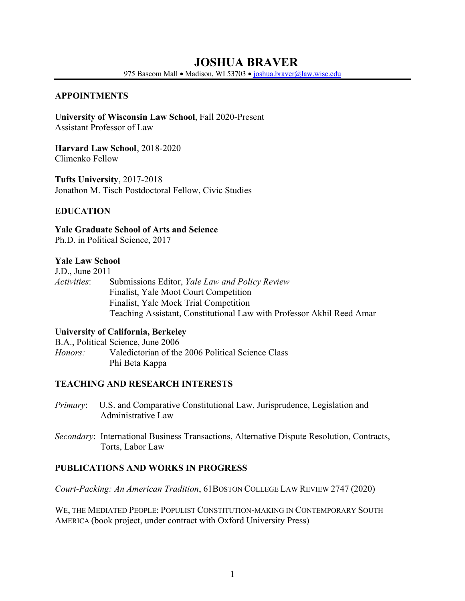# **JOSHUA BRAVER**

975 Bascom Mall · Madison, WI 53703 · joshua.braver@law.wisc.edu

#### **APPOINTMENTS**

**University of Wisconsin Law School**, Fall 2020-Present Assistant Professor of Law

**Harvard Law School**, 2018-2020 Climenko Fellow

**Tufts University**, 2017-2018 Jonathon M. Tisch Postdoctoral Fellow, Civic Studies

# **EDUCATION**

**Yale Graduate School of Arts and Science** Ph.D. in Political Science, 2017

#### **Yale Law School**

J.D., June 2011 *Activities*: Submissions Editor, *Yale Law and Policy Review* Finalist, Yale Moot Court Competition Finalist, Yale Mock Trial Competition Teaching Assistant, Constitutional Law with Professor Akhil Reed Amar

#### **University of California, Berkeley**

B.A., Political Science, June 2006 *Honors:* Valedictorian of the 2006 Political Science Class Phi Beta Kappa

# **TEACHING AND RESEARCH INTERESTS**

- *Primary*: U.S. and Comparative Constitutional Law, Jurisprudence, Legislation and Administrative Law
- *Secondary*: International Business Transactions, Alternative Dispute Resolution, Contracts, Torts, Labor Law

# **PUBLICATIONS AND WORKS IN PROGRESS**

*Court-Packing: An American Tradition*, 61BOSTON COLLEGE LAW REVIEW 2747 (2020)

WE, THE MEDIATED PEOPLE: POPULIST CONSTITUTION-MAKING IN CONTEMPORARY SOUTH AMERICA (book project, under contract with Oxford University Press)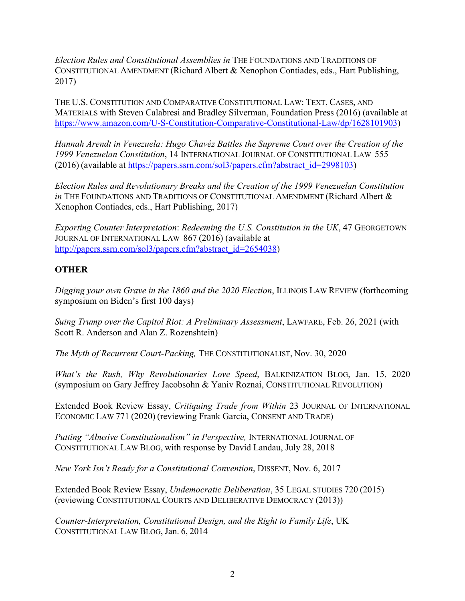*Election Rules and Constitutional Assemblies in* THE FOUNDATIONS AND TRADITIONS OF CONSTITUTIONAL AMENDMENT (Richard Albert & Xenophon Contiades, eds., Hart Publishing, 2017)

THE U.S. CONSTITUTION AND COMPARATIVE CONSTITUTIONAL LAW: TEXT, CASES, AND MATERIALS with Steven Calabresi and Bradley Silverman, Foundation Press (2016) (available at https://www.amazon.com/U-S-Constitution-Comparative-Constitutional-Law/dp/1628101903)

*Hannah Arendt in Venezuela: Hugo Chavéz Battles the Supreme Court over the Creation of the 1999 Venezuelan Constitution*, 14 INTERNATIONAL JOURNAL OF CONSTITUTIONAL LAW 555 (2016) (available at https://papers.ssrn.com/sol3/papers.cfm?abstract\_id=2998103)

*Election Rules and Revolutionary Breaks and the Creation of the 1999 Venezuelan Constitution in* THE FOUNDATIONS AND TRADITIONS OF CONSTITUTIONAL AMENDMENT (Richard Albert & Xenophon Contiades, eds., Hart Publishing, 2017)

*Exporting Counter Interpretation*: *Redeeming the U.S. Constitution in the UK*, 47 GEORGETOWN JOURNAL OF INTERNATIONAL LAW 867 (2016) (available at http://papers.ssrn.com/sol3/papers.cfm?abstract\_id=2654038)

# **OTHER**

*Digging your own Grave in the 1860 and the 2020 Election*, ILLINOIS LAW REVIEW (forthcoming symposium on Biden's first 100 days)

*Suing Trump over the Capitol Riot: A Preliminary Assessment*, LAWFARE, Feb. 26, 2021 (with Scott R. Anderson and Alan Z. Rozenshtein)

*The Myth of Recurrent Court-Packing,* THE CONSTITUTIONALIST, Nov. 30, 2020

*What's the Rush, Why Revolutionaries Love Speed*, BALKINIZATION BLOG, Jan. 15, 2020 (symposium on Gary Jeffrey Jacobsohn & Yaniv Roznai, CONSTITUTIONAL REVOLUTION)

Extended Book Review Essay, *Critiquing Trade from Within* 23 JOURNAL OF INTERNATIONAL ECONOMIC LAW 771 (2020) (reviewing Frank Garcia, CONSENT AND TRADE)

*Putting "Abusive Constitutionalism" in Perspective,* INTERNATIONAL JOURNAL OF CONSTITUTIONAL LAW BLOG, with response by David Landau, July 28, 2018

*New York Isn't Ready for a Constitutional Convention*, DISSENT, Nov. 6, 2017

Extended Book Review Essay, *Undemocratic Deliberation*, 35 LEGAL STUDIES 720 (2015) (reviewing CONSTITUTIONAL COURTS AND DELIBERATIVE DEMOCRACY (2013))

*Counter-Interpretation, Constitutional Design, and the Right to Family Life*, UK CONSTITUTIONAL LAW BLOG, Jan. 6, 2014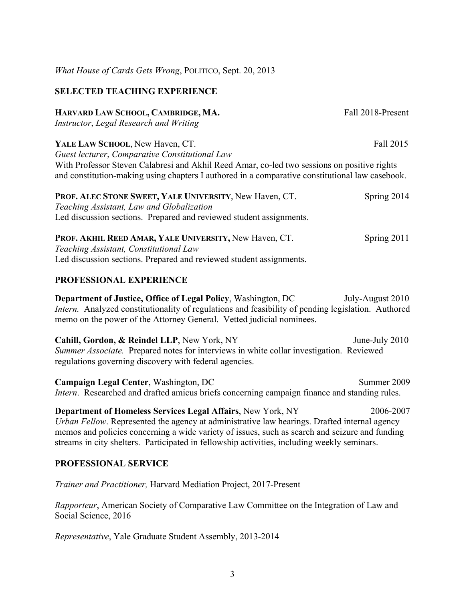*What House of Cards Gets Wrong*, POLITICO, Sept. 20, 2013

#### **SELECTED TEACHING EXPERIENCE**

#### **HARVARD LAW SCHOOL, CAMBRIDGE, MA.** Fall 2018-Present

*Instructor*, *Legal Research and Writing* 

#### **YALE LAW SCHOOL, New Haven, CT.** The same of the same of the same of the same of the same of the same of the same of the same of the same of the same of the same of the same of the same of the same of the same of the same

*Guest lecturer*, *Comparative Constitutional Law* With Professor Steven Calabresi and Akhil Reed Amar, co-led two sessions on positive rights and constitution-making using chapters I authored in a comparative constitutional law casebook.

| <b>PROF. ALEC STONE SWEET, YALE UNIVERSITY, New Haven, CT.</b><br>Teaching Assistant, Law and Globalization<br>Led discussion sections. Prepared and reviewed student assignments. | Spring 2014                                            |
|------------------------------------------------------------------------------------------------------------------------------------------------------------------------------------|--------------------------------------------------------|
|                                                                                                                                                                                    |                                                        |
|                                                                                                                                                                                    | PROF. AKHIL REED AMAR, YALE UNIVERSITY, New Haven, CT. |

*Teaching Assistant, Constitutional Law*  Led discussion sections. Prepared and reviewed student assignments.

#### **PROFESSIONAL EXPERIENCE**

**Department of Justice, Office of Legal Policy**, Washington, DC July-August 2010 *Intern.* Analyzed constitutionality of regulations and feasibility of pending legislation. Authored memo on the power of the Attorney General. Vetted judicial nominees.

**Cahill, Gordon, & Reindel LLP**, New York, NY June-July 2010 *Summer Associate.* Prepared notes for interviews in white collar investigation. Reviewed regulations governing discovery with federal agencies.

**Campaign Legal Center**, Washington, DC Summer 2009 *Intern*. Researched and drafted amicus briefs concerning campaign finance and standing rules.

**Department of Homeless Services Legal Affairs**, New York, NY 2006-2007 *Urban Fellow*. Represented the agency at administrative law hearings. Drafted internal agency memos and policies concerning a wide variety of issues, such as search and seizure and funding streams in city shelters. Participated in fellowship activities, including weekly seminars.

#### **PROFESSIONAL SERVICE**

*Trainer and Practitioner,* Harvard Mediation Project, 2017-Present

*Rapporteur*, American Society of Comparative Law Committee on the Integration of Law and Social Science, 2016

*Representative*, Yale Graduate Student Assembly, 2013-2014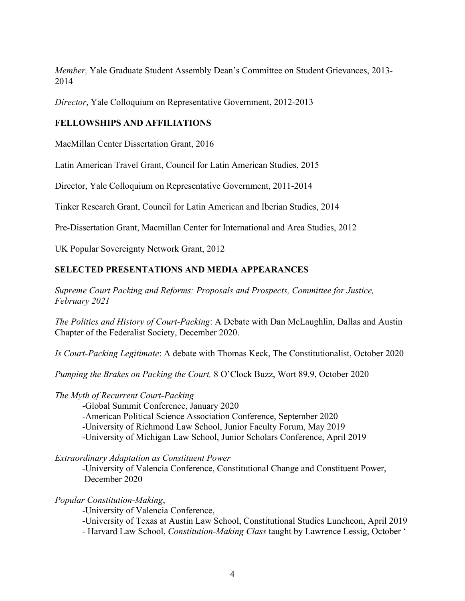*Member,* Yale Graduate Student Assembly Dean's Committee on Student Grievances, 2013- 2014

*Director*, Yale Colloquium on Representative Government, 2012-2013

# **FELLOWSHIPS AND AFFILIATIONS**

MacMillan Center Dissertation Grant, 2016

Latin American Travel Grant, Council for Latin American Studies, 2015

Director, Yale Colloquium on Representative Government, 2011-2014

Tinker Research Grant, Council for Latin American and Iberian Studies, 2014

Pre-Dissertation Grant, Macmillan Center for International and Area Studies, 2012

UK Popular Sovereignty Network Grant, 2012

# **SELECTED PRESENTATIONS AND MEDIA APPEARANCES**

*Supreme Court Packing and Reforms: Proposals and Prospects, Committee for Justice, February 2021*

*The Politics and History of Court-Packing*: A Debate with Dan McLaughlin, Dallas and Austin Chapter of the Federalist Society, December 2020.

*Is Court-Packing Legitimate*: A debate with Thomas Keck, The Constitutionalist, October 2020

*Pumping the Brakes on Packing the Court,* 8 O'Clock Buzz, Wort 89.9, October 2020

*The Myth of Recurrent Court-Packing*

-Global Summit Conference, January 2020

-American Political Science Association Conference, September 2020

-University of Richmond Law School, Junior Faculty Forum, May 2019

-University of Michigan Law School, Junior Scholars Conference, April 2019

*Extraordinary Adaptation as Constituent Power* 

-University of Valencia Conference, Constitutional Change and Constituent Power, December 2020

*Popular Constitution-Making*,

-University of Valencia Conference,

-University of Texas at Austin Law School, Constitutional Studies Luncheon, April 2019

- Harvard Law School, *Constitution-Making Class* taught by Lawrence Lessig, October '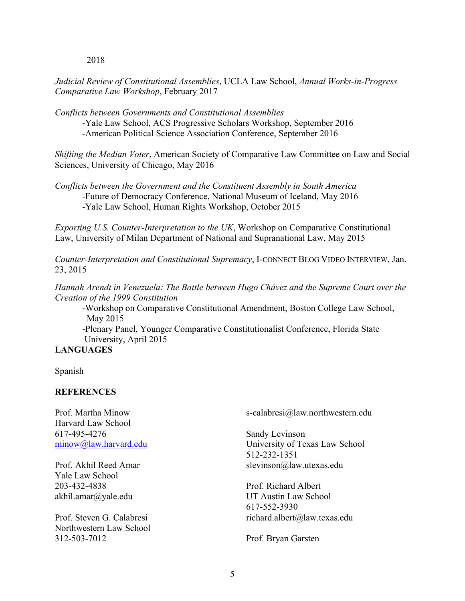2018

*Judicial Review of Constitutional Assemblies*, UCLA Law School, *Annual Works-in-Progress Comparative Law Workshop*, February 2017

*Conflicts between Governments and Constitutional Assemblies*

-Yale Law School, ACS Progressive Scholars Workshop, September 2016

-American Political Science Association Conference, September 2016

*Shifting the Median Voter*, American Society of Comparative Law Committee on Law and Social Sciences, University of Chicago, May 2016

*Conflicts between the Government and the Constituent Assembly in South America* -Future of Democracy Conference, National Museum of Iceland, May 2016 -Yale Law School, Human Rights Workshop, October 2015

*Exporting U.S. Counter-Interpretation to the UK*, Workshop on Comparative Constitutional Law, University of Milan Department of National and Supranational Law, May 2015

*Counter-Interpretation and Constitutional Supremacy*, I-CONNECT BLOG VIDEO INTERVIEW, Jan. 23, 2015

*Hannah Arendt in Venezuela: The Battle between Hugo Chávez and the Supreme Court over the Creation of the 1999 Constitution*

-Workshop on Comparative Constitutional Amendment, Boston College Law School, May 2015

-Plenary Panel, Younger Comparative Constitutionalist Conference, Florida State University, April 2015

**LANGUAGES**

Spanish

# **REFERENCES**

Prof. Martha Minow Harvard Law School 617-495-4276 minow@law.harvard.edu

Prof. Akhil Reed Amar Yale Law School 203-432-4838 akhil.amar@yale.edu

Prof. Steven G. Calabresi Northwestern Law School 312-503-7012

s-calabresi@law.northwestern.edu

Sandy Levinson University of Texas Law School 512-232-1351 slevinson@law.utexas.edu

Prof. Richard Albert UT Austin Law School 617-552-3930 richard.albert@law.texas.edu

Prof. Bryan Garsten